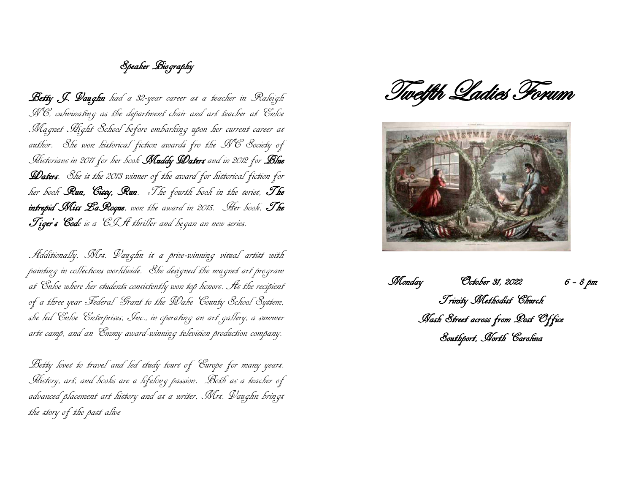## Speaker Biography

Betty J. Vaughn had a 32-year career as a teacher in Raleigh NC, culminating as the department chair and art teacher at Enloe Magnet Hight School before embarking upon her current career as author. She won historical fiction awards fro the NC Society of Historians in 2011 for her book Muddy Daters and in 2012 for Blue **Llaters**. She is the 2013 winner of the award for historical fiction for her book Run, Cissy, Run. The fourth book in the series, The intrepid Miss LaRoque, won the award in 2015. Her book, The Tiger's Code is a CISt thriller and began an new series.

Additionally, Mrs. Vaughn is a prize-winning visual artist with painting in collections worldwide. She designed the magnet art program at Enloe where her students consistently won top honors. As the recipient of a three year Federal Grant to the Wake County School System, she led Enloe Enterprises, Inc., in operating an art gallery, a summer arts camp, and an Emmy award-winning television production company.

Betty loves to travel and led study tours of Europe for many years. History, art, and books are a lifelong passion. Both as a teacher of advanced placement art history and as a writer, Mrs. Vaughn brings the story of the past alive

Twelfth Ladies Forum



 Monday October 31, 2022 6 – 8 pm Trinity Methodist Church Nash Street across from Post Office Southport, North Carolina